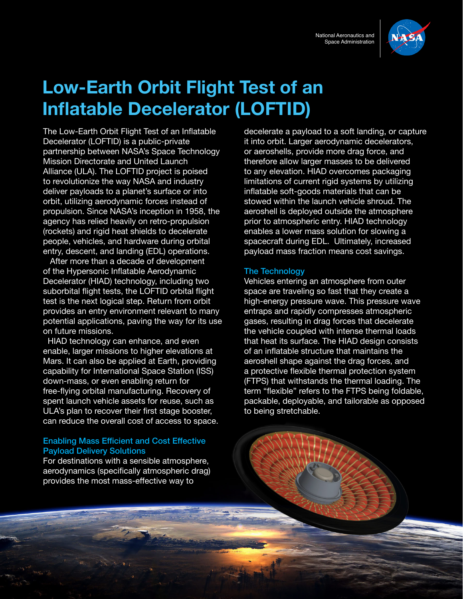

# **Low-Earth Orbit Flight Test of an Inflatable Decelerator (LOFTID)**

The Low-Earth Orbit Flight Test of an Inflatable Decelerator (LOFTID) is a public-private partnership between NASA's Space Technology Mission Directorate and United Launch Alliance (ULA). The LOFTID project is poised to revolutionize the way NASA and industry deliver payloads to a planet's surface or into orbit, utilizing aerodynamic forces instead of propulsion. Since NASA's inception in 1958, the agency has relied heavily on retro-propulsion (rockets) and rigid heat shields to decelerate people, vehicles, and hardware during orbital entry, descent, and landing (EDL) operations.

 After more than a decade of development of the Hypersonic Inflatable Aerodynamic Decelerator (HIAD) technology, including two suborbital flight tests, the LOFTID orbital flight test is the next logical step. Return from orbit provides an entry environment relevant to many potential applications, paving the way for its use on future missions.

 HIAD technology can enhance, and even enable, larger missions to higher elevations at Mars. It can also be applied at Earth, providing capability for International Space Station (ISS) down-mass, or even enabling return for free-flying orbital manufacturing. Recovery of spent launch vehicle assets for reuse, such as ULA's plan to recover their first stage booster, can reduce the overall cost of access to space.

#### Enabling Mass Efficient and Cost Effective Payload Delivery Solutions

For destinations with a sensible atmosphere, aerodynamics (specifically atmospheric drag) provides the most mass-effective way to

decelerate a payload to a soft landing, or capture it into orbit. Larger aerodynamic decelerators, or aeroshells, provide more drag force, and therefore allow larger masses to be delivered to any elevation. HIAD overcomes packaging limitations of current rigid systems by utilizing inflatable soft-goods materials that can be stowed within the launch vehicle shroud. The aeroshell is deployed outside the atmosphere prior to atmospheric entry. HIAD technology enables a lower mass solution for slowing a spacecraft during EDL. Ultimately, increased payload mass fraction means cost savings.

#### The Technology

Vehicles entering an atmosphere from outer space are traveling so fast that they create a high-energy pressure wave. This pressure wave entraps and rapidly compresses atmospheric gases, resulting in drag forces that decelerate the vehicle coupled with intense thermal loads that heat its surface. The HIAD design consists of an inflatable structure that maintains the aeroshell shape against the drag forces, and a protective flexible thermal protection system (FTPS) that withstands the thermal loading. The term "flexible" refers to the FTPS being foldable, packable, deployable, and tailorable as opposed to being stretchable.